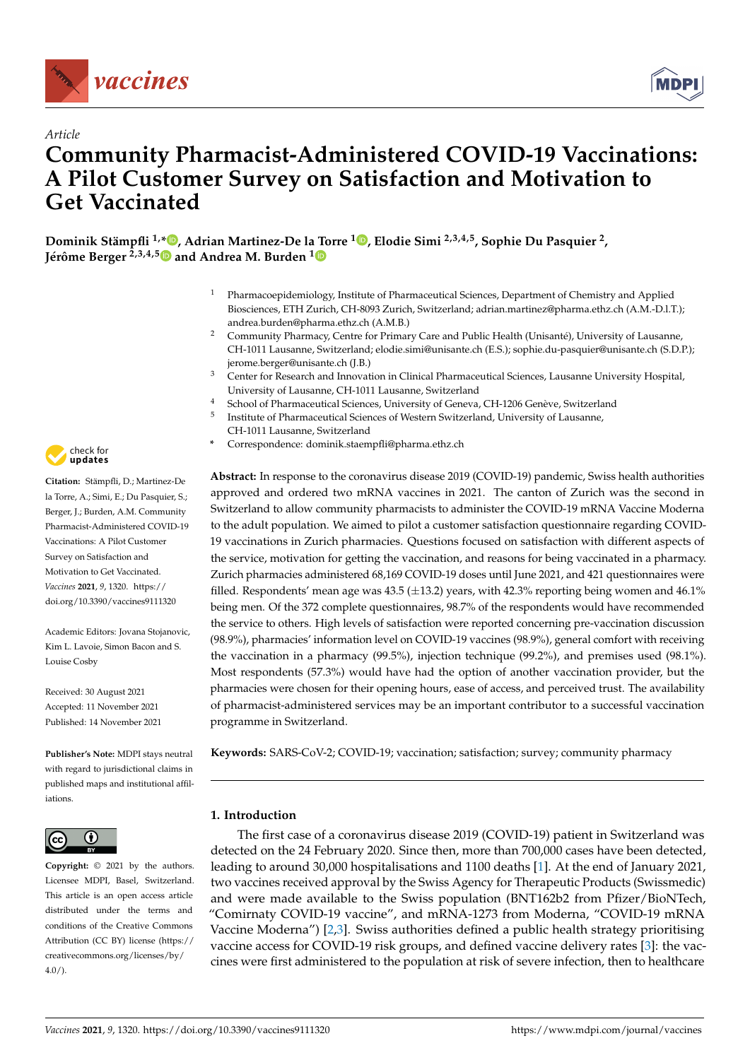

*Article*



# **Community Pharmacist-Administered COVID-19 Vaccinations: A Pilot Customer Survey on Satisfaction and Motivation to Get Vaccinated**

**Dominik Stämpfli 1,[\\*](https://orcid.org/0000-0001-5293-134X) , Adrian Martinez-De la Torre <sup>1</sup> [,](https://orcid.org/0000-0002-3155-7421) Elodie Simi 2,3,4,5, Sophie Du Pasquier <sup>2</sup> , Jérôme Berger 2,3,4,[5](https://orcid.org/0000-0003-1177-5453) and Andrea M. Burden [1](https://orcid.org/0000-0001-7082-8530)**

- <sup>1</sup> Pharmacoepidemiology, Institute of Pharmaceutical Sciences, Department of Chemistry and Applied Biosciences, ETH Zurich, CH-8093 Zurich, Switzerland; adrian.martinez@pharma.ethz.ch (A.M.-D.l.T.); andrea.burden@pharma.ethz.ch (A.M.B.)
- <sup>2</sup> Community Pharmacy, Centre for Primary Care and Public Health (Unisanté), University of Lausanne, CH-1011 Lausanne, Switzerland; elodie.simi@unisante.ch (E.S.); sophie.du-pasquier@unisante.ch (S.D.P.); jerome.berger@unisante.ch (J.B.)
- <sup>3</sup> Center for Research and Innovation in Clinical Pharmaceutical Sciences, Lausanne University Hospital, University of Lausanne, CH-1011 Lausanne, Switzerland
- <sup>4</sup> School of Pharmaceutical Sciences, University of Geneva, CH-1206 Genève, Switzerland
- 5 Institute of Pharmaceutical Sciences of Western Switzerland, University of Lausanne, CH-1011 Lausanne, Switzerland
- **\*** Correspondence: dominik.staempfli@pharma.ethz.ch

**Abstract:** In response to the coronavirus disease 2019 (COVID-19) pandemic, Swiss health authorities approved and ordered two mRNA vaccines in 2021. The canton of Zurich was the second in Switzerland to allow community pharmacists to administer the COVID-19 mRNA Vaccine Moderna to the adult population. We aimed to pilot a customer satisfaction questionnaire regarding COVID-19 vaccinations in Zurich pharmacies. Questions focused on satisfaction with different aspects of the service, motivation for getting the vaccination, and reasons for being vaccinated in a pharmacy. Zurich pharmacies administered 68,169 COVID-19 doses until June 2021, and 421 questionnaires were filled. Respondents' mean age was  $43.5$  ( $\pm$ 13.2) years, with  $42.3\%$  reporting being women and  $46.1\%$ being men. Of the 372 complete questionnaires, 98.7% of the respondents would have recommended the service to others. High levels of satisfaction were reported concerning pre-vaccination discussion (98.9%), pharmacies' information level on COVID-19 vaccines (98.9%), general comfort with receiving the vaccination in a pharmacy (99.5%), injection technique (99.2%), and premises used (98.1%). Most respondents (57.3%) would have had the option of another vaccination provider, but the pharmacies were chosen for their opening hours, ease of access, and perceived trust. The availability of pharmacist-administered services may be an important contributor to a successful vaccination programme in Switzerland.

**Keywords:** SARS-CoV-2; COVID-19; vaccination; satisfaction; survey; community pharmacy

# **1. Introduction**

The first case of a coronavirus disease 2019 (COVID-19) patient in Switzerland was detected on the 24 February 2020. Since then, more than 700,000 cases have been detected, leading to around 30,000 hospitalisations and 1100 deaths [\[1\]](#page-8-0). At the end of January 2021, two vaccines received approval by the Swiss Agency for Therapeutic Products (Swissmedic) and were made available to the Swiss population (BNT162b2 from Pfizer/BioNTech, "Comirnaty COVID-19 vaccine", and mRNA-1273 from Moderna, "COVID-19 mRNA Vaccine Moderna") [\[2,](#page-8-1)[3\]](#page-8-2). Swiss authorities defined a public health strategy prioritising vaccine access for COVID-19 risk groups, and defined vaccine delivery rates [\[3\]](#page-8-2): the vaccines were first administered to the population at risk of severe infection, then to healthcare



**Citation:** Stämpfli, D.; Martinez-De la Torre, A.; Simi, E.; Du Pasquier, S.; Berger, J.; Burden, A.M. Community Pharmacist-Administered COVID-19 Vaccinations: A Pilot Customer Survey on Satisfaction and Motivation to Get Vaccinated. *Vaccines* **2021**, *9*, 1320. [https://](https://doi.org/10.3390/vaccines9111320) [doi.org/10.3390/vaccines9111320](https://doi.org/10.3390/vaccines9111320)

Academic Editors: Jovana Stojanovic, Kim L. Lavoie, Simon Bacon and S. Louise Cosby

Received: 30 August 2021 Accepted: 11 November 2021 Published: 14 November 2021

**Publisher's Note:** MDPI stays neutral with regard to jurisdictional claims in published maps and institutional affiliations.



**Copyright:** © 2021 by the authors. Licensee MDPI, Basel, Switzerland. This article is an open access article distributed under the terms and conditions of the Creative Commons Attribution (CC BY) license (https:/[/](https://creativecommons.org/licenses/by/4.0/) [creativecommons.org/licenses/by/](https://creativecommons.org/licenses/by/4.0/)  $4.0/$ ).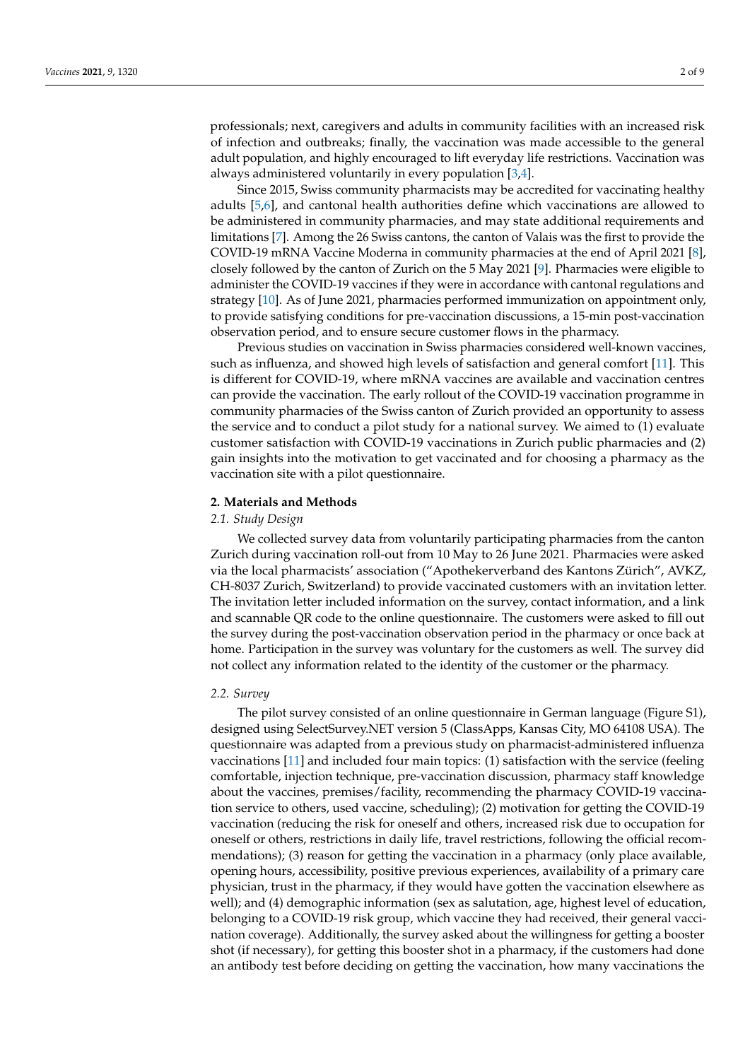professionals; next, caregivers and adults in community facilities with an increased risk of infection and outbreaks; finally, the vaccination was made accessible to the general adult population, and highly encouraged to lift everyday life restrictions. Vaccination was always administered voluntarily in every population [\[3,](#page-8-2)[4\]](#page-8-3).

Since 2015, Swiss community pharmacists may be accredited for vaccinating healthy adults [\[5,](#page-8-4)[6\]](#page-8-5), and cantonal health authorities define which vaccinations are allowed to be administered in community pharmacies, and may state additional requirements and limitations [\[7\]](#page-8-6). Among the 26 Swiss cantons, the canton of Valais was the first to provide the COVID-19 mRNA Vaccine Moderna in community pharmacies at the end of April 2021 [\[8\]](#page-8-7), closely followed by the canton of Zurich on the 5 May 2021 [\[9\]](#page-8-8). Pharmacies were eligible to administer the COVID-19 vaccines if they were in accordance with cantonal regulations and strategy [\[10\]](#page-8-9). As of June 2021, pharmacies performed immunization on appointment only, to provide satisfying conditions for pre-vaccination discussions, a 15-min post-vaccination observation period, and to ensure secure customer flows in the pharmacy.

Previous studies on vaccination in Swiss pharmacies considered well-known vaccines, such as influenza, and showed high levels of satisfaction and general comfort [\[11\]](#page-8-10). This is different for COVID-19, where mRNA vaccines are available and vaccination centres can provide the vaccination. The early rollout of the COVID-19 vaccination programme in community pharmacies of the Swiss canton of Zurich provided an opportunity to assess the service and to conduct a pilot study for a national survey. We aimed to (1) evaluate customer satisfaction with COVID-19 vaccinations in Zurich public pharmacies and (2) gain insights into the motivation to get vaccinated and for choosing a pharmacy as the vaccination site with a pilot questionnaire.

#### **2. Materials and Methods**

#### *2.1. Study Design*

We collected survey data from voluntarily participating pharmacies from the canton Zurich during vaccination roll-out from 10 May to 26 June 2021. Pharmacies were asked via the local pharmacists' association ("Apothekerverband des Kantons Zürich", AVKZ, CH-8037 Zurich, Switzerland) to provide vaccinated customers with an invitation letter. The invitation letter included information on the survey, contact information, and a link and scannable QR code to the online questionnaire. The customers were asked to fill out the survey during the post-vaccination observation period in the pharmacy or once back at home. Participation in the survey was voluntary for the customers as well. The survey did not collect any information related to the identity of the customer or the pharmacy.

#### *2.2. Survey*

The pilot survey consisted of an online questionnaire in German language (Figure S1), designed using SelectSurvey.NET version 5 (ClassApps, Kansas City, MO 64108 USA). The questionnaire was adapted from a previous study on pharmacist-administered influenza vaccinations [\[11\]](#page-8-10) and included four main topics: (1) satisfaction with the service (feeling comfortable, injection technique, pre-vaccination discussion, pharmacy staff knowledge about the vaccines, premises/facility, recommending the pharmacy COVID-19 vaccination service to others, used vaccine, scheduling); (2) motivation for getting the COVID-19 vaccination (reducing the risk for oneself and others, increased risk due to occupation for oneself or others, restrictions in daily life, travel restrictions, following the official recommendations); (3) reason for getting the vaccination in a pharmacy (only place available, opening hours, accessibility, positive previous experiences, availability of a primary care physician, trust in the pharmacy, if they would have gotten the vaccination elsewhere as well); and (4) demographic information (sex as salutation, age, highest level of education, belonging to a COVID-19 risk group, which vaccine they had received, their general vaccination coverage). Additionally, the survey asked about the willingness for getting a booster shot (if necessary), for getting this booster shot in a pharmacy, if the customers had done an antibody test before deciding on getting the vaccination, how many vaccinations the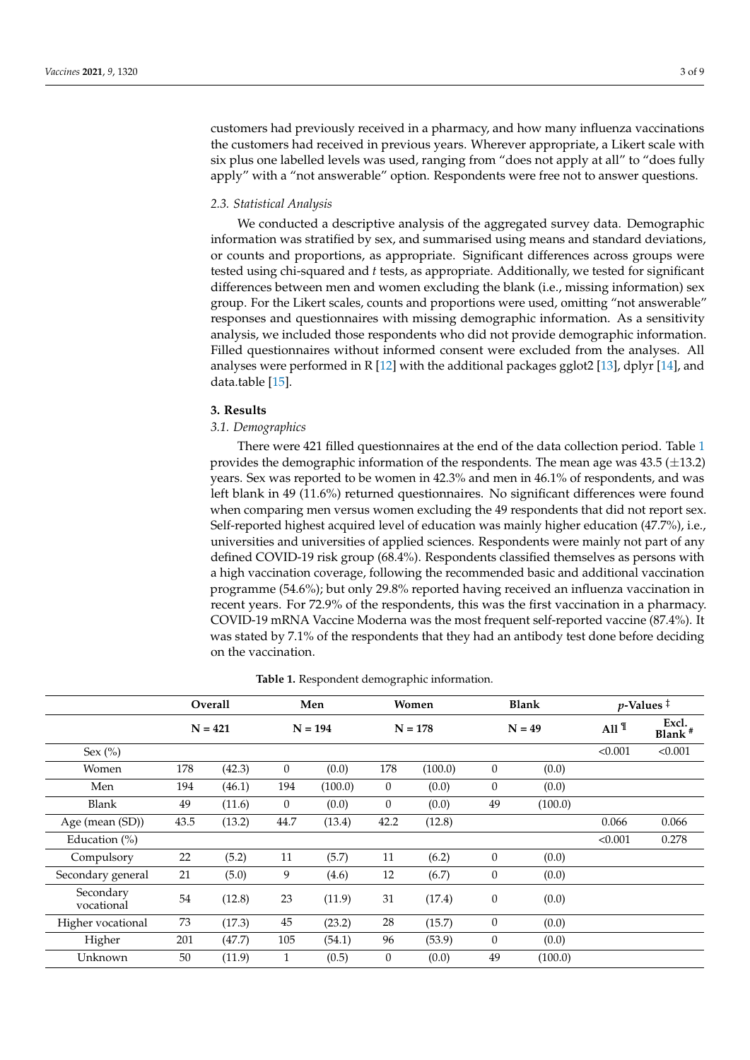customers had previously received in a pharmacy, and how many influenza vaccinations the customers had received in previous years. Wherever appropriate, a Likert scale with six plus one labelled levels was used, ranging from "does not apply at all" to "does fully apply" with a "not answerable" option. Respondents were free not to answer questions.

#### *2.3. Statistical Analysis*

We conducted a descriptive analysis of the aggregated survey data. Demographic information was stratified by sex, and summarised using means and standard deviations, or counts and proportions, as appropriate. Significant differences across groups were tested using chi-squared and *t* tests, as appropriate. Additionally, we tested for significant differences between men and women excluding the blank (i.e., missing information) sex group. For the Likert scales, counts and proportions were used, omitting "not answerable" responses and questionnaires with missing demographic information. As a sensitivity analysis, we included those respondents who did not provide demographic information. Filled questionnaires without informed consent were excluded from the analyses. All analyses were performed in R [\[12\]](#page-8-11) with the additional packages gglot2 [\[13\]](#page-8-12), dplyr [\[14\]](#page-8-13), and data.table [\[15\]](#page-8-14).

#### **3. Results**

#### *3.1. Demographics*

There were 421 filled questionnaires at the end of the data collection period. Table [1](#page-3-0) provides the demographic information of the respondents. The mean age was  $43.5 \pm 13.2$ ) years. Sex was reported to be women in 42.3% and men in 46.1% of respondents, and was left blank in 49 (11.6%) returned questionnaires. No significant differences were found when comparing men versus women excluding the 49 respondents that did not report sex. Self-reported highest acquired level of education was mainly higher education (47.7%), i.e., universities and universities of applied sciences. Respondents were mainly not part of any defined COVID-19 risk group (68.4%). Respondents classified themselves as persons with a high vaccination coverage, following the recommended basic and additional vaccination programme (54.6%); but only 29.8% reported having received an influenza vaccination in recent years. For 72.9% of the respondents, this was the first vaccination in a pharmacy. COVID-19 mRNA Vaccine Moderna was the most frequent self-reported vaccine (87.4%). It was stated by 7.1% of the respondents that they had an antibody test done before deciding on the vaccination.

|                         | <b>Overall</b> |        | Men          |         | Women<br>$N = 178$ |         | <b>Blank</b><br>$N = 49$ |         | $p$ -Values $\ddagger$ |                             |
|-------------------------|----------------|--------|--------------|---------|--------------------|---------|--------------------------|---------|------------------------|-----------------------------|
|                         | $N = 421$      |        | $N = 194$    |         |                    |         |                          |         | All $\P$               | Excl.<br>Blank <sup>#</sup> |
| Sex $(\%)$              |                |        |              |         |                    |         |                          |         | < 0.001                | < 0.001                     |
| Women                   | 178            | (42.3) | $\mathbf{0}$ | (0.0)   | 178                | (100.0) | $\overline{0}$           | (0.0)   |                        |                             |
| Men                     | 194            | (46.1) | 194          | (100.0) | $\overline{0}$     | (0.0)   | $\overline{0}$           | (0.0)   |                        |                             |
| Blank                   | 49             | (11.6) | $\theta$     | (0.0)   | $\theta$           | (0.0)   | 49                       | (100.0) |                        |                             |
| Age (mean (SD))         | 43.5           | (13.2) | 44.7         | (13.4)  | 42.2               | (12.8)  |                          |         | 0.066                  | 0.066                       |
| Education $(\%)$        |                |        |              |         |                    |         |                          |         | < 0.001                | 0.278                       |
| Compulsory              | 22             | (5.2)  | 11           | (5.7)   | 11                 | (6.2)   | $\theta$                 | (0.0)   |                        |                             |
| Secondary general       | 21             | (5.0)  | 9            | (4.6)   | 12                 | (6.7)   | $\overline{0}$           | (0.0)   |                        |                             |
| Secondary<br>vocational | 54             | (12.8) | 23           | (11.9)  | 31                 | (17.4)  | $\boldsymbol{0}$         | (0.0)   |                        |                             |
| Higher vocational       | 73             | (17.3) | 45           | (23.2)  | 28                 | (15.7)  | $\theta$                 | (0.0)   |                        |                             |
| Higher                  | 201            | (47.7) | 105          | (54.1)  | 96                 | (53.9)  | $\theta$                 | (0.0)   |                        |                             |
| Unknown                 | 50             | (11.9) | $\mathbf{1}$ | (0.5)   | $\theta$           | (0.0)   | 49                       | (100.0) |                        |                             |

**Table 1.** Respondent demographic information.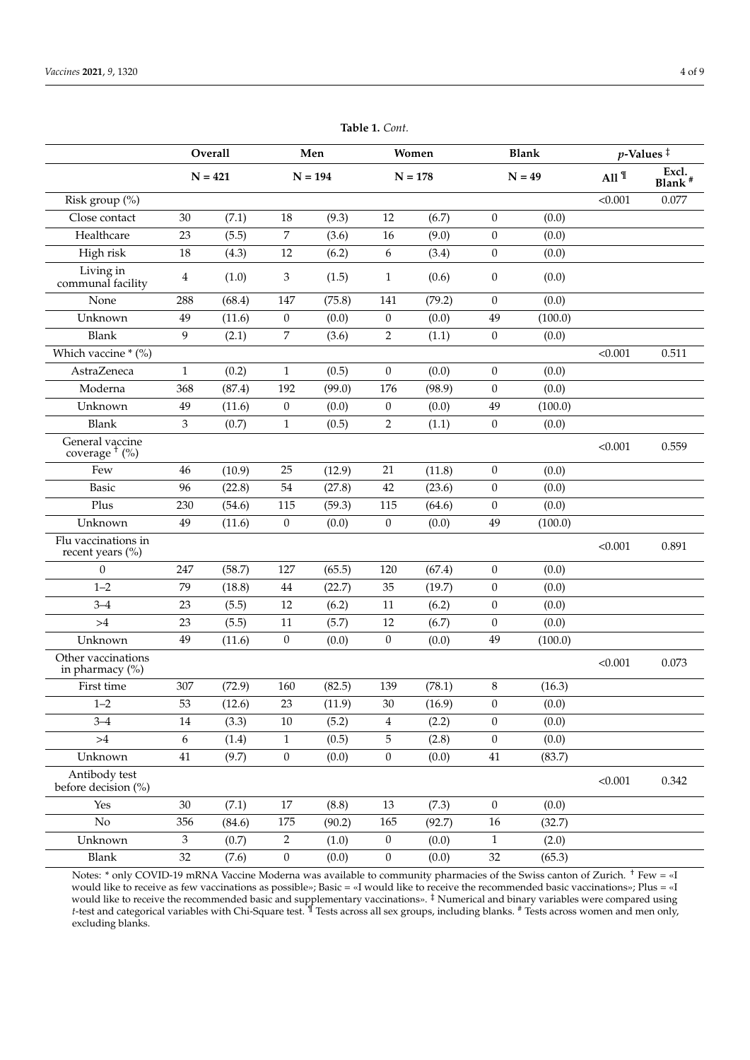<span id="page-3-0"></span>

|                                         | Overall<br>$N = 421$ |        | Men<br>$N = 194$ |        | Women<br>$N = 178$ |        | <b>Blank</b><br>$N = 49$ |         | $p$ -Values <sup><math>\ddagger</math></sup> |                             |
|-----------------------------------------|----------------------|--------|------------------|--------|--------------------|--------|--------------------------|---------|----------------------------------------------|-----------------------------|
|                                         |                      |        |                  |        |                    |        |                          |         | All $\P$                                     | Excl.<br>Blank <sup>#</sup> |
| Risk group (%)                          |                      |        |                  |        |                    |        |                          |         | < 0.001                                      | 0.077                       |
| Close contact                           | 30                   | (7.1)  | 18               | (9.3)  | 12                 | (6.7)  | $\mathbf{0}$             | (0.0)   |                                              |                             |
| Healthcare                              | 23                   | (5.5)  | 7                | (3.6)  | 16                 | (9.0)  | $\boldsymbol{0}$         | (0.0)   |                                              |                             |
| High risk                               | 18                   | (4.3)  | $12\,$           | (6.2)  | 6                  | (3.4)  | $\mathbf{0}$             | (0.0)   |                                              |                             |
| Living in<br>communal facility          | 4                    | (1.0)  | 3                | (1.5)  | $\mathbf{1}$       | (0.6)  | $\mathbf{0}$             | (0.0)   |                                              |                             |
| None                                    | 288                  | (68.4) | 147              | (75.8) | 141                | (79.2) | $\overline{0}$           | (0.0)   |                                              |                             |
| Unknown                                 | 49                   | (11.6) | $\boldsymbol{0}$ | (0.0)  | $\boldsymbol{0}$   | (0.0)  | 49                       | (100.0) |                                              |                             |
| <b>Blank</b>                            | 9                    | (2.1)  | 7                | (3.6)  | 2                  | (1.1)  | $\mathbf{0}$             | (0.0)   |                                              |                             |
| Which vaccine * (%)                     |                      |        |                  |        |                    |        |                          |         | < 0.001                                      | 0.511                       |
| AstraZeneca                             | $\mathbf{1}$         | (0.2)  | $\mathbf{1}$     | (0.5)  | $\boldsymbol{0}$   | (0.0)  | $\boldsymbol{0}$         | (0.0)   |                                              |                             |
| Moderna                                 | 368                  | (87.4) | 192              | (99.0) | 176                | (98.9) | $\boldsymbol{0}$         | (0.0)   |                                              |                             |
| Unknown                                 | 49                   | (11.6) | $\boldsymbol{0}$ | (0.0)  | $\boldsymbol{0}$   | (0.0)  | 49                       | (100.0) |                                              |                             |
| <b>Blank</b>                            | 3                    | (0.7)  | $\mathbf{1}$     | (0.5)  | $\overline{2}$     | (1.1)  | $\boldsymbol{0}$         | (0.0)   |                                              |                             |
| General vaccine<br>coverage $†$ (%)     |                      |        |                  |        |                    |        |                          |         | < 0.001                                      | 0.559                       |
| Few                                     | 46                   | (10.9) | 25               | (12.9) | 21                 | (11.8) | $\boldsymbol{0}$         | (0.0)   |                                              |                             |
| <b>Basic</b>                            | 96                   | (22.8) | 54               | (27.8) | 42                 | (23.6) | $\mathbf{0}$             | (0.0)   |                                              |                             |
| Plus                                    | 230                  | (54.6) | 115              | (59.3) | 115                | (64.6) | $\mathbf{0}$             | (0.0)   |                                              |                             |
| Unknown                                 | 49                   | (11.6) | $\boldsymbol{0}$ | (0.0)  | $\boldsymbol{0}$   | (0.0)  | 49                       | (100.0) |                                              |                             |
| Flu vaccinations in<br>recent years (%) |                      |        |                  |        |                    |        |                          |         | < 0.001                                      | 0.891                       |
| $\mathbf{0}$                            | 247                  | (58.7) | 127              | (65.5) | 120                | (67.4) | $\mathbf{0}$             | (0.0)   |                                              |                             |
| $1 - 2$                                 | 79                   | (18.8) | 44               | (22.7) | 35                 | (19.7) | $\boldsymbol{0}$         | (0.0)   |                                              |                             |
| $3 - 4$                                 | 23                   | (5.5)  | 12               | (6.2)  | 11                 | (6.2)  | $\boldsymbol{0}$         | (0.0)   |                                              |                             |
| >4                                      | 23                   | (5.5)  | 11               | (5.7)  | $12\,$             | (6.7)  | $\mathbf{0}$             | (0.0)   |                                              |                             |
| Unknown                                 | 49                   | (11.6) | $\boldsymbol{0}$ | (0.0)  | $\boldsymbol{0}$   | (0.0)  | 49                       | (100.0) |                                              |                             |
| Other vaccinations<br>in pharmacy (%)   |                      |        |                  |        |                    |        |                          |         | < 0.001                                      | 0.073                       |
| First time                              | 307                  | (72.9) | 160              | (82.5) | 139                | (78.1) | 8                        | (16.3)  |                                              |                             |
| $1 - 2$                                 | 53                   | (12.6) | 23               | (11.9) | 30                 | (16.9) | $\mathbf{0}$             | (0.0)   |                                              |                             |
| $3 - 4$                                 | 14                   | (3.3)  | 10               | (5.2)  | 4                  | (2.2)  | $\mathbf{0}$             | (0.0)   |                                              |                             |
| >4                                      | 6                    | (1.4)  | $\mathbf{1}$     | (0.5)  | 5                  | (2.8)  | $\boldsymbol{0}$         | (0.0)   |                                              |                             |
| Unknown                                 | 41                   | (9.7)  | $\boldsymbol{0}$ | (0.0)  | $\boldsymbol{0}$   | (0.0)  | 41                       | (83.7)  |                                              |                             |
| Antibody test<br>before decision (%)    |                      |        |                  |        |                    |        |                          |         | < 0.001                                      | 0.342                       |
| Yes                                     | 30                   | (7.1)  | $17\,$           | (8.8)  | 13                 | (7.3)  | $\boldsymbol{0}$         | (0.0)   |                                              |                             |
| $\rm No$                                | 356                  | (84.6) | 175              | (90.2) | 165                | (92.7) | $16\,$                   | (32.7)  |                                              |                             |
| Unknown                                 | 3                    | (0.7)  | 2                | (1.0)  | $\boldsymbol{0}$   | (0.0)  | $\mathbf{1}$             | (2.0)   |                                              |                             |
| Blank                                   | 32                   | (7.6)  | $\boldsymbol{0}$ | (0.0)  | $\boldsymbol{0}$   | (0.0)  | 32                       | (65.3)  |                                              |                             |
|                                         |                      |        |                  |        |                    |        |                          |         |                                              |                             |

**Table 1.** *Cont.*

Notes: \* only COVID-19 mRNA Vaccine Moderna was available to community pharmacies of the Swiss canton of Zurich. † Few = «I would like to receive as few vaccinations as possible»; Basic = «I would like to receive the recommended basic vaccinations»; Plus = «I would like to receive the recommended basic and supplementary vaccinations». <sup>‡</sup> Numerical and binary variables were compared using *t*-test and categorical variables with Chi-Square test. ¶ Tests across all sex groups, including blanks. # Tests across women and men only, excluding blanks.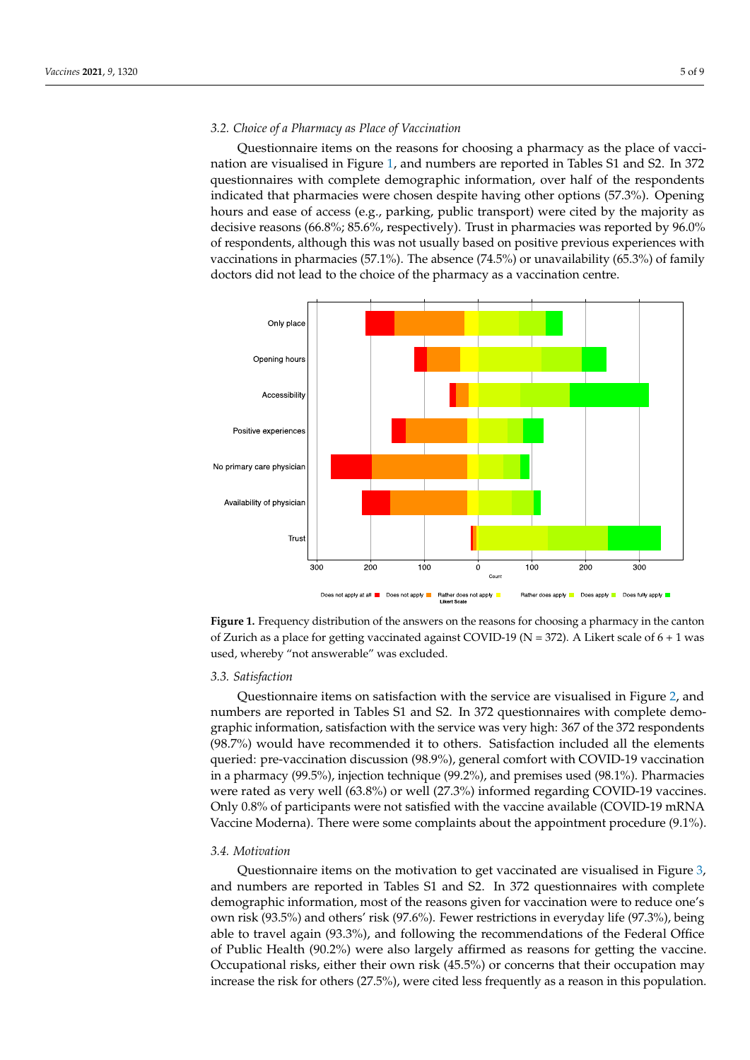# 3.2. Choice of a Pharmacy as Place of Vaccination

Questionnaire items on the reasons for choosing a pharmacy as the place of vacci-nation are visualised in Figure [1,](#page-4-0) and numbers are reported in Tables S1 and S2. In 372 questionnaires with complete demographic information, over half of the respondents indicated that pharmacies were chosen despite having other options (57.3%). Opening hours and ease of access (e.g., parking, public transport) were cited by the majority as decisive reasons (66.8%; 85.6%, respectively). Trust in pharmacies was reported by 96.0% of respondents, although this was not usually based on positive previous experiences with vaccinations in pharmacies  $(57.1\%)$ . The absence  $(74.5\%)$  or unavailability  $(65.3\%)$  of family doctors did not lead to the choice of the pharmacy as a vaccination centre.

<span id="page-4-0"></span>

**Figure 1.** Frequency distribution of the answers on the reasons for choosing a pharmacy in the canton of Zurich as a place for getting vaccinated against COVID-19 ( $N = 372$ ). A Likert scale of 6 + 1 was was used, whereby "not answerable" was excluded. used, whereby "not answerable" was excluded.

#### *3.3. Satisfaction*

*3.3. Satisfaction*  Questionnaire items on satisfaction with the service are visualised in Figure [2,](#page-5-0) and numbers are reported in Tables S1 and S2. In 372 questionnaires with complete demographic information, satisfaction with the service was very high: 367 of the 372 respondents  $(98.7%)$  would have recommended it to others. Satisfaction included all the elements queried: pre-vaccination discussion (98.9%), general comfort with COVID-19 vaccination in a pharmacy (99.5%), injection technique (99.2%), and premises used (98.1%). Pharmacies  $\frac{11}{2}$ only 0.8% of participants were not satisfied with the vaccine available (COVID-19 mRNA Let us were regarding were regarding with the vace-to-complaints about the appointment procedure (9.1%). cines. Only 0.8% of participants were not satisfied with the vaccine available (COVID-19) of participants were were rated as very well (63.8%) or well (27.3%) informed regarding COVID-19 vaccines.

## mRNA Vaccine Moderna). There were some complaints about the appointment procedure *3.4. Motivation*

Questionnaire items on the motivation to get vaccinated are visualised in Figure [3,](#page-5-1) and numbers are reported in Tables S1 and S2. In 372 questionnaires with complete demographic information, most of the reasons given for vaccination were to reduce one's own risk (93.5%) and others' risk (97.6%). Fewer restrictions in everyday life (97.3%), being able to travel again (93.3%), and following the recommendations of the Federal Office of Public Health (90.2%) were also largely affirmed as reasons for getting the vaccine. Occupational risks, either their own risk (45.5%) or concerns that their occupation may increase the risk for others (27.5%), were cited less frequently as a reason in this population.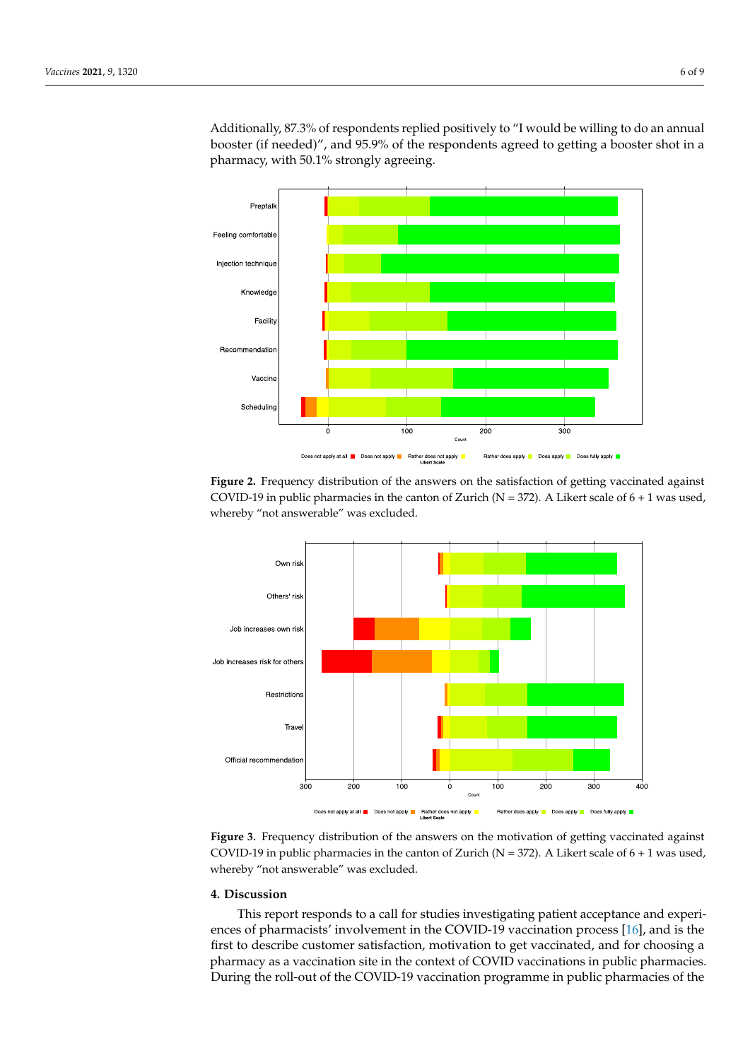Additionally, 87.3% of respondents replied positively to "I would be willing to do an annual booster (if needed)", and 95.9% of the respondents agreed to getting a booster shot in a pharmacy, with 50.1% strongly agreeing.

<span id="page-5-0"></span>

Figure 2. Frequency distribution of the answers on the satisfaction of getting vaccinated against COVID-19 in public pharmacies in the canton of Zurich ( $N = 372$ ). A Likert scale of  $6 + 1$  was used, whereby "not answerable" was excluded.

<span id="page-5-1"></span>

**Figure 3.** Frequency distribution of the answers on the motivation of getting vaccinated against COVID-19 in public pharmacies in the canton of Zurich ( $N = 372$ ). A Likert scale of 6 + 1 was used, whereby "not answerable" was excluded.

### **4. Discussion**

This report responds to a call for studies investigating patient acceptance and experiences of pharmacists' involvement in the COVID-19 vaccination process [\[16\]](#page-8-15), and is the first to describe customer satisfaction, motivation to get vaccinated, and for choosing a pharmacy as a vaccination site in the context of COVID vaccinations in public pharmacies. During the roll-out of the COVID-19 vaccination programme in public pharmacies of the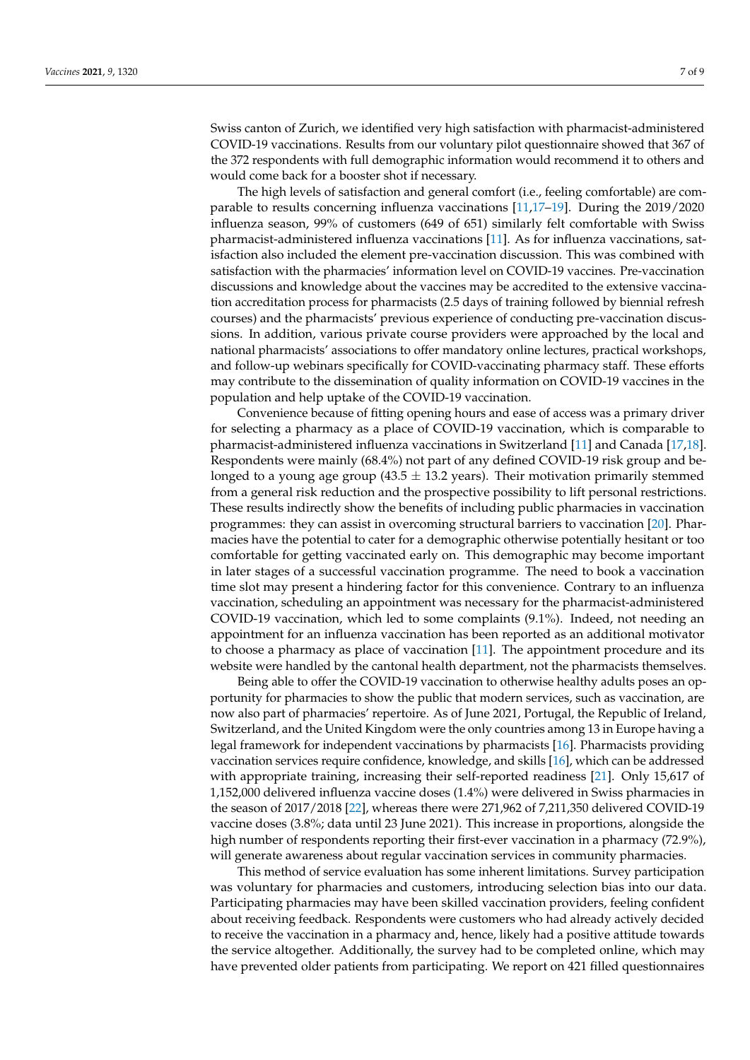Swiss canton of Zurich, we identified very high satisfaction with pharmacist-administered COVID-19 vaccinations. Results from our voluntary pilot questionnaire showed that 367 of the 372 respondents with full demographic information would recommend it to others and would come back for a booster shot if necessary.

The high levels of satisfaction and general comfort (i.e., feeling comfortable) are comparable to results concerning influenza vaccinations [\[11,](#page-8-10)[17–](#page-8-16)[19\]](#page-8-17). During the 2019/2020 influenza season, 99% of customers (649 of 651) similarly felt comfortable with Swiss pharmacist-administered influenza vaccinations [\[11\]](#page-8-10). As for influenza vaccinations, satisfaction also included the element pre-vaccination discussion. This was combined with satisfaction with the pharmacies' information level on COVID-19 vaccines. Pre-vaccination discussions and knowledge about the vaccines may be accredited to the extensive vaccination accreditation process for pharmacists (2.5 days of training followed by biennial refresh courses) and the pharmacists' previous experience of conducting pre-vaccination discussions. In addition, various private course providers were approached by the local and national pharmacists' associations to offer mandatory online lectures, practical workshops, and follow-up webinars specifically for COVID-vaccinating pharmacy staff. These efforts may contribute to the dissemination of quality information on COVID-19 vaccines in the population and help uptake of the COVID-19 vaccination.

Convenience because of fitting opening hours and ease of access was a primary driver for selecting a pharmacy as a place of COVID-19 vaccination, which is comparable to pharmacist-administered influenza vaccinations in Switzerland [\[11\]](#page-8-10) and Canada [\[17,](#page-8-16)[18\]](#page-8-18). Respondents were mainly (68.4%) not part of any defined COVID-19 risk group and belonged to a young age group (43.5  $\pm$  13.2 years). Their motivation primarily stemmed from a general risk reduction and the prospective possibility to lift personal restrictions. These results indirectly show the benefits of including public pharmacies in vaccination programmes: they can assist in overcoming structural barriers to vaccination [\[20\]](#page-8-19). Pharmacies have the potential to cater for a demographic otherwise potentially hesitant or too comfortable for getting vaccinated early on. This demographic may become important in later stages of a successful vaccination programme. The need to book a vaccination time slot may present a hindering factor for this convenience. Contrary to an influenza vaccination, scheduling an appointment was necessary for the pharmacist-administered COVID-19 vaccination, which led to some complaints (9.1%). Indeed, not needing an appointment for an influenza vaccination has been reported as an additional motivator to choose a pharmacy as place of vaccination [\[11\]](#page-8-10). The appointment procedure and its website were handled by the cantonal health department, not the pharmacists themselves.

Being able to offer the COVID-19 vaccination to otherwise healthy adults poses an opportunity for pharmacies to show the public that modern services, such as vaccination, are now also part of pharmacies' repertoire. As of June 2021, Portugal, the Republic of Ireland, Switzerland, and the United Kingdom were the only countries among 13 in Europe having a legal framework for independent vaccinations by pharmacists [\[16\]](#page-8-15). Pharmacists providing vaccination services require confidence, knowledge, and skills [\[16\]](#page-8-15), which can be addressed with appropriate training, increasing their self-reported readiness [\[21\]](#page-8-20). Only 15,617 of 1,152,000 delivered influenza vaccine doses (1.4%) were delivered in Swiss pharmacies in the season of 2017/2018 [\[22\]](#page-8-21), whereas there were 271,962 of 7,211,350 delivered COVID-19 vaccine doses (3.8%; data until 23 June 2021). This increase in proportions, alongside the high number of respondents reporting their first-ever vaccination in a pharmacy (72.9%), will generate awareness about regular vaccination services in community pharmacies.

This method of service evaluation has some inherent limitations. Survey participation was voluntary for pharmacies and customers, introducing selection bias into our data. Participating pharmacies may have been skilled vaccination providers, feeling confident about receiving feedback. Respondents were customers who had already actively decided to receive the vaccination in a pharmacy and, hence, likely had a positive attitude towards the service altogether. Additionally, the survey had to be completed online, which may have prevented older patients from participating. We report on 421 filled questionnaires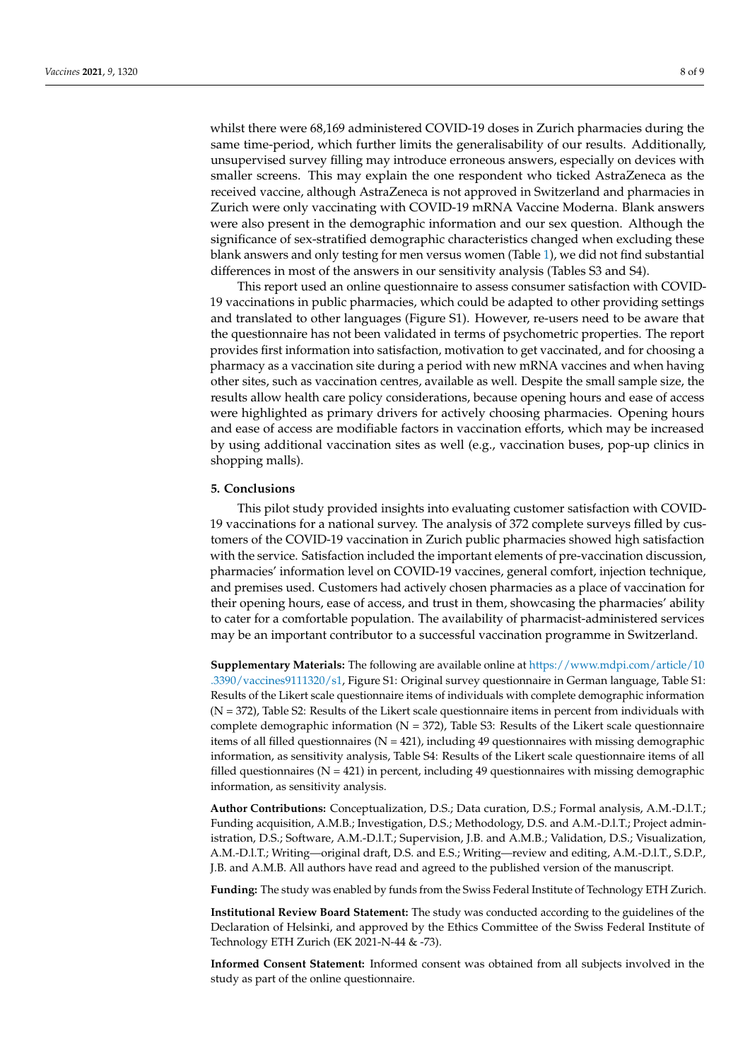whilst there were 68,169 administered COVID-19 doses in Zurich pharmacies during the same time-period, which further limits the generalisability of our results. Additionally, unsupervised survey filling may introduce erroneous answers, especially on devices with smaller screens. This may explain the one respondent who ticked AstraZeneca as the received vaccine, although AstraZeneca is not approved in Switzerland and pharmacies in Zurich were only vaccinating with COVID-19 mRNA Vaccine Moderna. Blank answers were also present in the demographic information and our sex question. Although the significance of sex-stratified demographic characteristics changed when excluding these blank answers and only testing for men versus women (Table [1\)](#page-3-0), we did not find substantial differences in most of the answers in our sensitivity analysis (Tables S3 and S4).

This report used an online questionnaire to assess consumer satisfaction with COVID-19 vaccinations in public pharmacies, which could be adapted to other providing settings and translated to other languages (Figure S1). However, re-users need to be aware that the questionnaire has not been validated in terms of psychometric properties. The report provides first information into satisfaction, motivation to get vaccinated, and for choosing a pharmacy as a vaccination site during a period with new mRNA vaccines and when having other sites, such as vaccination centres, available as well. Despite the small sample size, the results allow health care policy considerations, because opening hours and ease of access were highlighted as primary drivers for actively choosing pharmacies. Opening hours and ease of access are modifiable factors in vaccination efforts, which may be increased by using additional vaccination sites as well (e.g., vaccination buses, pop-up clinics in shopping malls).

#### **5. Conclusions**

This pilot study provided insights into evaluating customer satisfaction with COVID-19 vaccinations for a national survey. The analysis of 372 complete surveys filled by customers of the COVID-19 vaccination in Zurich public pharmacies showed high satisfaction with the service. Satisfaction included the important elements of pre-vaccination discussion, pharmacies' information level on COVID-19 vaccines, general comfort, injection technique, and premises used. Customers had actively chosen pharmacies as a place of vaccination for their opening hours, ease of access, and trust in them, showcasing the pharmacies' ability to cater for a comfortable population. The availability of pharmacist-administered services may be an important contributor to a successful vaccination programme in Switzerland.

**Supplementary Materials:** The following are available online at [https://www.mdpi.com/article/10](https://www.mdpi.com/article/10.3390/vaccines9111320/s1) [.3390/vaccines9111320/s1,](https://www.mdpi.com/article/10.3390/vaccines9111320/s1) Figure S1: Original survey questionnaire in German language, Table S1: Results of the Likert scale questionnaire items of individuals with complete demographic information (N = 372), Table S2: Results of the Likert scale questionnaire items in percent from individuals with complete demographic information ( $N = 372$ ), Table S3: Results of the Likert scale questionnaire items of all filled questionnaires  $(N = 421)$ , including 49 questionnaires with missing demographic information, as sensitivity analysis, Table S4: Results of the Likert scale questionnaire items of all filled questionnaires ( $N = 421$ ) in percent, including 49 questionnaires with missing demographic information, as sensitivity analysis.

**Author Contributions:** Conceptualization, D.S.; Data curation, D.S.; Formal analysis, A.M.-D.l.T.; Funding acquisition, A.M.B.; Investigation, D.S.; Methodology, D.S. and A.M.-D.l.T.; Project administration, D.S.; Software, A.M.-D.l.T.; Supervision, J.B. and A.M.B.; Validation, D.S.; Visualization, A.M.-D.l.T.; Writing—original draft, D.S. and E.S.; Writing—review and editing, A.M.-D.l.T., S.D.P., J.B. and A.M.B. All authors have read and agreed to the published version of the manuscript.

**Funding:** The study was enabled by funds from the Swiss Federal Institute of Technology ETH Zurich.

**Institutional Review Board Statement:** The study was conducted according to the guidelines of the Declaration of Helsinki, and approved by the Ethics Committee of the Swiss Federal Institute of Technology ETH Zurich (EK 2021-N-44 & -73).

**Informed Consent Statement:** Informed consent was obtained from all subjects involved in the study as part of the online questionnaire.